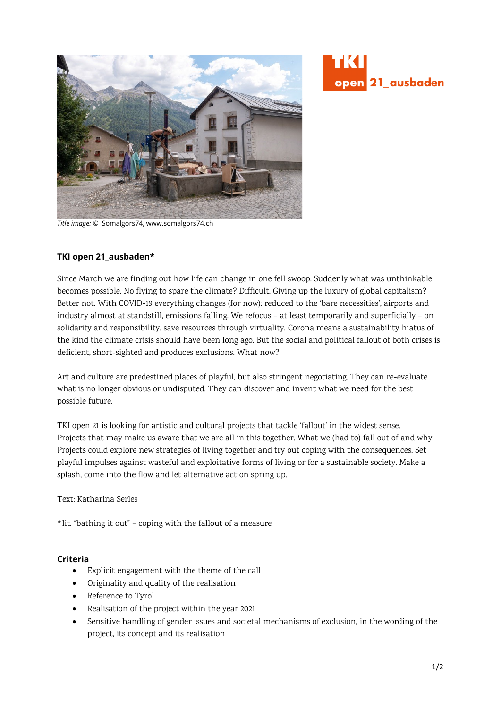



*Title image: ©* Somalgors74, www.somalgors74.ch

## **TKI open 21\_ausbaden\***

Since March we are finding out how life can change in one fell swoop. Suddenly what was unthinkable becomes possible. No flying to spare the climate? Difficult. Giving up the luxury of global capitalism? Better not. With COVID-19 everything changes (for now): reduced to the 'bare necessities', airports and industry almost at standstill, emissions falling. We refocus – at least temporarily and superficially – on solidarity and responsibility, save resources through virtuality. Corona means a sustainability hiatus of the kind the climate crisis should have been long ago. But the social and political fallout of both crises is deficient, short-sighted and produces exclusions. What now?

Art and culture are predestined places of playful, but also stringent negotiating. They can re-evaluate what is no longer obvious or undisputed. They can discover and invent what we need for the best possible future.

TKI open 21 is looking for artistic and cultural projects that tackle 'fallout' in the widest sense. Projects that may make us aware that we are all in this together. What we (had to) fall out of and why. Projects could explore new strategies of living together and try out coping with the consequences. Set playful impulses against wasteful and exploitative forms of living or for a sustainable society. Make a splash, come into the flow and let alternative action spring up.

Text: Katharina Serles

\*lit. "bathing it out" = coping with the fallout of a measure

### **Criteria**

- Explicit engagement with the theme of the call
- Originality and quality of the realisation
- Reference to Tyrol
- Realisation of the project within the year 2021
- Sensitive handling of gender issues and societal mechanisms of exclusion, in the wording of the project, its concept and its realisation